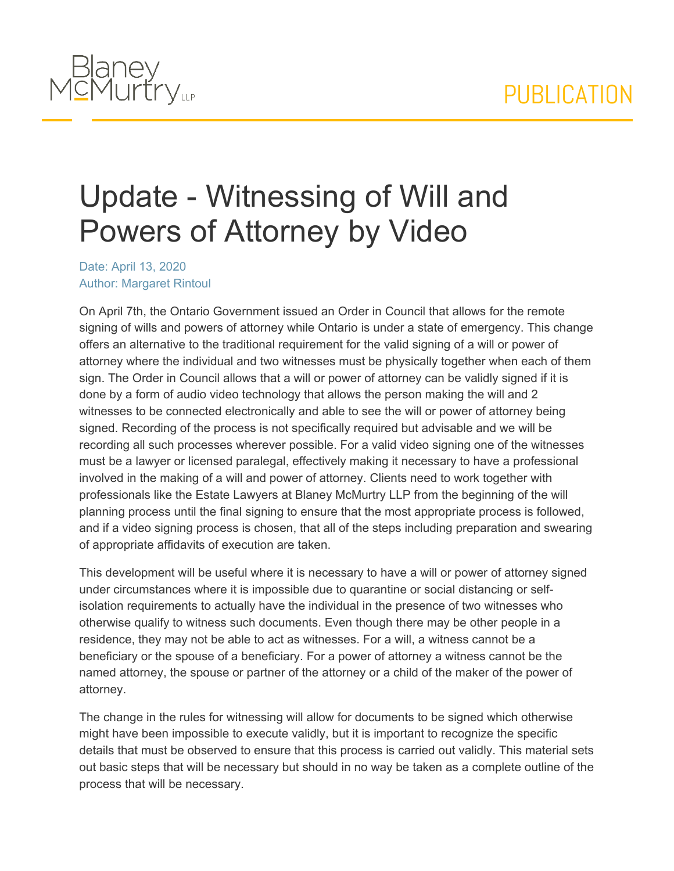## PUBLICATION



## Update - Witnessing of Will and Powers of Attorney by Video

Date: April 13, 2020 Author: Margaret Rintoul

On April 7th, the Ontario Government issued an Order in Council that allows for the remote signing of wills and powers of attorney while Ontario is under a state of emergency. This change offers an alternative to the traditional requirement for the valid signing of a will or power of attorney where the individual and two witnesses must be physically together when each of them sign. The Order in Council allows that a will or power of attorney can be validly signed if it is done by a form of audio video technology that allows the person making the will and 2 witnesses to be connected electronically and able to see the will or power of attorney being signed. Recording of the process is not specifically required but advisable and we will be recording all such processes wherever possible. For a valid video signing one of the witnesses must be a lawyer or licensed paralegal, effectively making it necessary to have a professional involved in the making of a will and power of attorney. Clients need to work together with professionals like the Estate Lawyers at Blaney McMurtry LLP from the beginning of the will planning process until the final signing to ensure that the most appropriate process is followed, and if a video signing process is chosen, that all of the steps including preparation and swearing of appropriate affidavits of execution are taken.

This development will be useful where it is necessary to have a will or power of attorney signed under circumstances where it is impossible due to quarantine or social distancing or selfisolation requirements to actually have the individual in the presence of two witnesses who otherwise qualify to witness such documents. Even though there may be other people in a residence, they may not be able to act as witnesses. For a will, a witness cannot be a beneficiary or the spouse of a beneficiary. For a power of attorney a witness cannot be the named attorney, the spouse or partner of the attorney or a child of the maker of the power of attorney.

The change in the rules for witnessing will allow for documents to be signed which otherwise might have been impossible to execute validly, but it is important to recognize the specific details that must be observed to ensure that this process is carried out validly. This material sets out basic steps that will be necessary but should in no way be taken as a complete outline of the process that will be necessary.